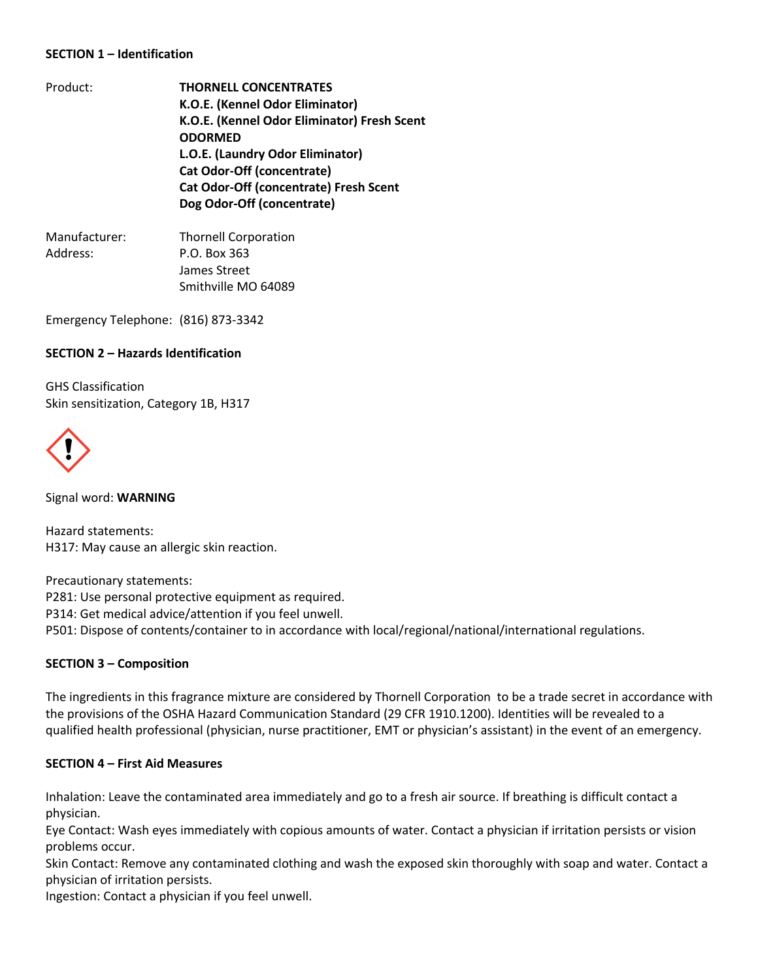### **SECTION 1 – Identification**

- Product: **THORNELL CONCENTRATES K.O.E. (Kennel Odor Eliminator) K.O.E. (Kennel Odor Eliminator) Fresh Scent ODORMED L.O.E. (Laundry Odor Eliminator) Cat Odor-Off (concentrate) Cat Odor-Off (concentrate) Fresh Scent Dog Odor-Off (concentrate)**
- Manufacturer: Thornell Corporation Address: P.O. Box 363 James Street Smithville MO 64089

Emergency Telephone: (816) 873-3342

#### **SECTION 2 – Hazards Identification**

GHS Classification Skin sensitization, Category 1B, H317



Signal word: **WARNING**

Hazard statements: H317: May cause an allergic skin reaction.

Precautionary statements: P281: Use personal protective equipment as required. P314: Get medical advice/attention if you feel unwell. P501: Dispose of contents/container to in accordance with local/regional/national/international regulations.

#### **SECTION 3 – Composition**

The ingredients in this fragrance mixture are considered by Thornell Corporation to be a trade secret in accordance with the provisions of the OSHA Hazard Communication Standard (29 CFR 1910.1200). Identities will be revealed to a qualified health professional (physician, nurse practitioner, EMT or physician's assistant) in the event of an emergency.

#### **SECTION 4 – First Aid Measures**

Inhalation: Leave the contaminated area immediately and go to a fresh air source. If breathing is difficult contact a physician.

Eye Contact: Wash eyes immediately with copious amounts of water. Contact a physician if irritation persists or vision problems occur.

Skin Contact: Remove any contaminated clothing and wash the exposed skin thoroughly with soap and water. Contact a physician of irritation persists.

Ingestion: Contact a physician if you feel unwell.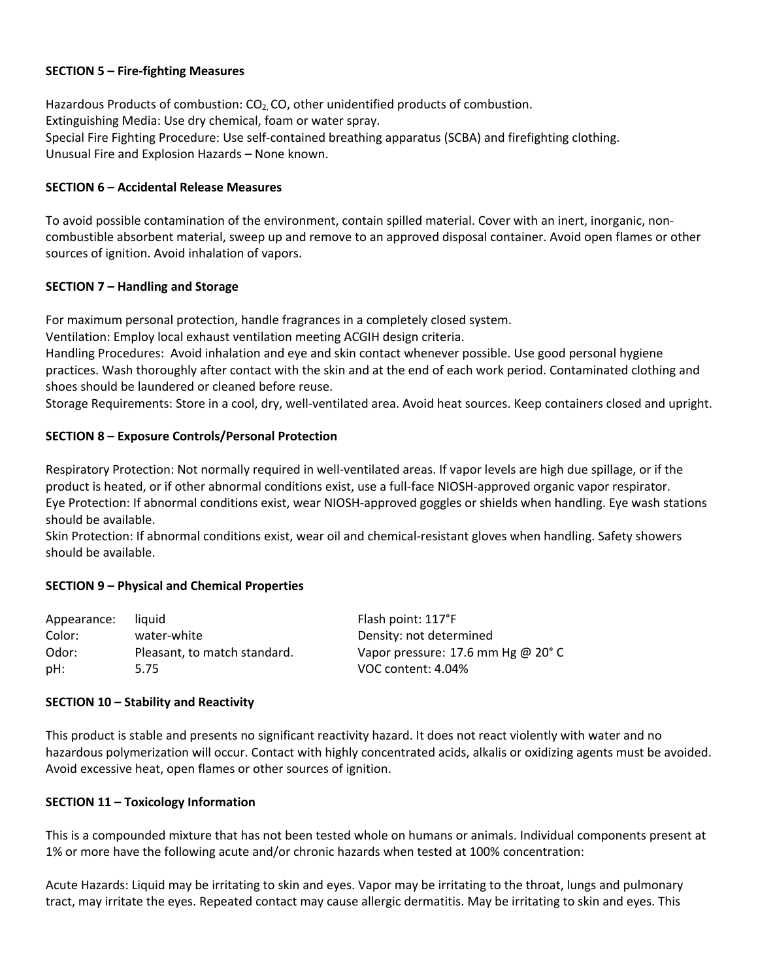#### **SECTION 5 – Fire-fighting Measures**

Hazardous Products of combustion:  $CO<sub>2</sub>$  CO, other unidentified products of combustion. Extinguishing Media: Use dry chemical, foam or water spray. Special Fire Fighting Procedure: Use self-contained breathing apparatus (SCBA) and firefighting clothing. Unusual Fire and Explosion Hazards – None known.

### **SECTION 6 – Accidental Release Measures**

To avoid possible contamination of the environment, contain spilled material. Cover with an inert, inorganic, noncombustible absorbent material, sweep up and remove to an approved disposal container. Avoid open flames or other sources of ignition. Avoid inhalation of vapors.

#### **SECTION 7 – Handling and Storage**

For maximum personal protection, handle fragrances in a completely closed system.

Ventilation: Employ local exhaust ventilation meeting ACGIH design criteria.

Handling Procedures: Avoid inhalation and eye and skin contact whenever possible. Use good personal hygiene practices. Wash thoroughly after contact with the skin and at the end of each work period. Contaminated clothing and shoes should be laundered or cleaned before reuse.

Storage Requirements: Store in a cool, dry, well-ventilated area. Avoid heat sources. Keep containers closed and upright.

## **SECTION 8 – Exposure Controls/Personal Protection**

Respiratory Protection: Not normally required in well-ventilated areas. If vapor levels are high due spillage, or if the product is heated, or if other abnormal conditions exist, use a full-face NIOSH-approved organic vapor respirator. Eye Protection: If abnormal conditions exist, wear NIOSH-approved goggles or shields when handling. Eye wash stations should be available.

Skin Protection: If abnormal conditions exist, wear oil and chemical-resistant gloves when handling. Safety showers should be available.

#### **SECTION 9 – Physical and Chemical Properties**

| Appearance: | liauid                       | Flash point: 117°F                           |
|-------------|------------------------------|----------------------------------------------|
| Color:      | water-white                  | Density: not determined                      |
| Odor:       | Pleasant, to match standard. | Vapor pressure: 17.6 mm Hg @ 20 $^{\circ}$ C |
| pH:         | 5.75                         | VOC content: 4.04%                           |

#### **SECTION 10 – Stability and Reactivity**

This product is stable and presents no significant reactivity hazard. It does not react violently with water and no hazardous polymerization will occur. Contact with highly concentrated acids, alkalis or oxidizing agents must be avoided. Avoid excessive heat, open flames or other sources of ignition.

#### **SECTION 11 – Toxicology Information**

This is a compounded mixture that has not been tested whole on humans or animals. Individual components present at 1% or more have the following acute and/or chronic hazards when tested at 100% concentration:

Acute Hazards: Liquid may be irritating to skin and eyes. Vapor may be irritating to the throat, lungs and pulmonary tract, may irritate the eyes. Repeated contact may cause allergic dermatitis. May be irritating to skin and eyes. This